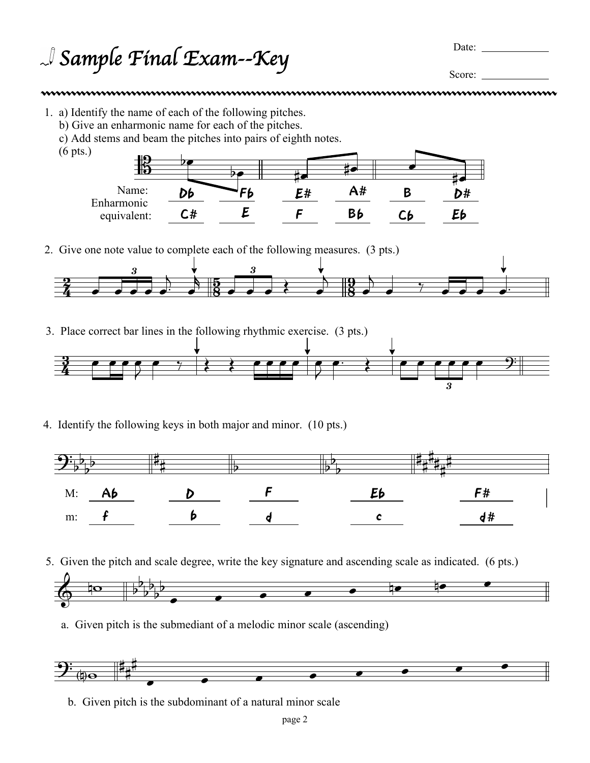<sup>J</sup> Sample Final Exam--Key Date:

Score:

## TITUN TERTEMO TERRA Í JE TERRA TERRA TERRA TERRA TERRA TERRA TERRA TERRA TERRA TERRA TERRA TERRA TERRA TERRA T<br>Terra terra terra terra terra terra terra terra terra terra terra terra terra terra terra terra terra terra te

1. a) Identify the name of each of the following pitches.

(6 pts.)

- b) Give an enharmonic name for each of the pitches.
- c) Add stems and beam the pitches into pairs of eighth notes.



2. Give one note value to complete each of the following measures. (3 pts.)



3. Place correct bar lines in the following rhythmic exercise. (3 pts.)



4. Identify the following keys in both major and minor. (10 pts.)



5. Given the pitch and scale degree, write the key signature and ascending scale as indicated. (6 pts.)



a. Given pitch is the submediant of a melodic minor scale (ascending)



b. Given pitch is the subdominant of a natural minor scale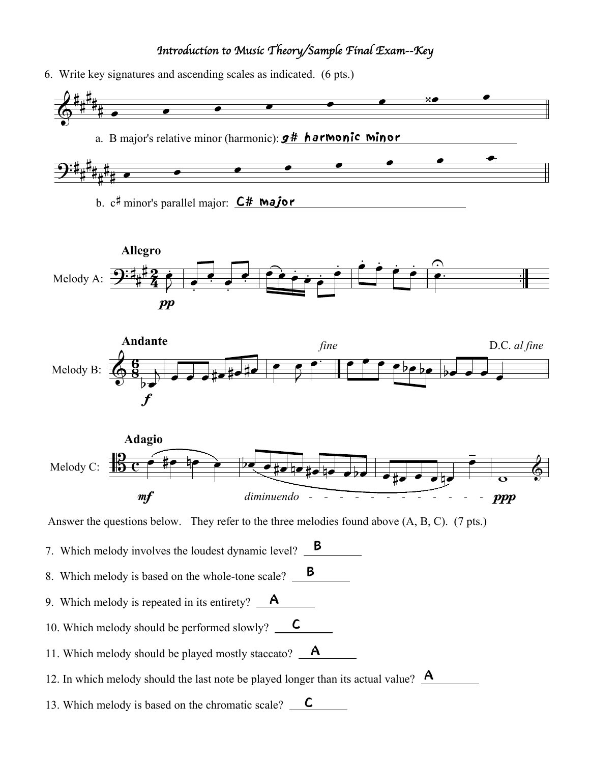## *Introduction to Music Theory/Sample Final Exam--Key*

6. Write key signatures and ascending scales as indicated. (6 pts.)



b. c# minor's parallel major: **C# Major** 







Answer the questions below. They refer to the three melodies found above (A, B, C). (7 pts.)

7. Which melody involves the loudest dynamic level?  $\mathbf{B}$ 

- 8. Which melody is based on the whole-tone scale?  $\Box$
- 9. Which melody is repeated in its entirety?  $\blacksquare$
- 10. Which melody should be performed slowly?  $\quad \text{C}$
- 11. Which melody should be played mostly staccato?  $\overline{\mathbf{A}}$
- 12. In which melody should the last note be played longer than its actual value?  $\mathbf{A}$
- 13. Which melody is based on the chromatic scale?  $\quad \mathsf{C}$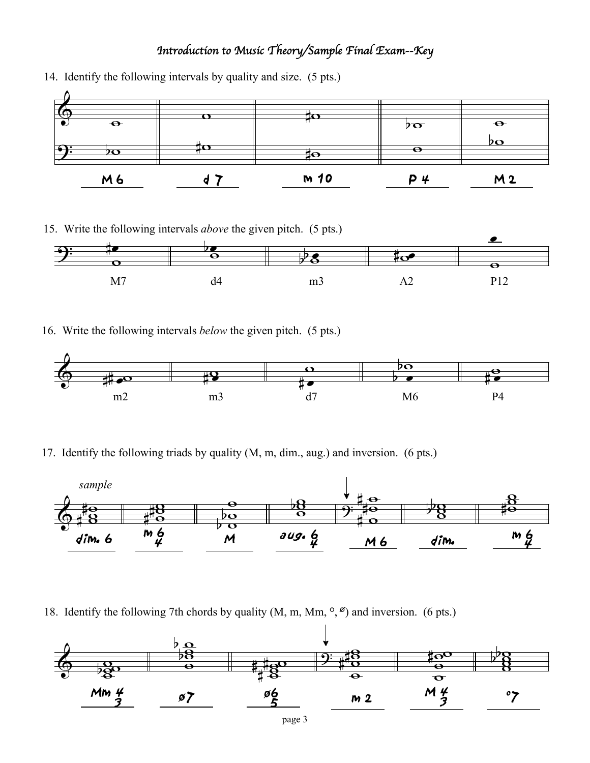## *Introduction to Music Theory/Sample Final Exam--Key*



14. Identify the following intervals by quality and size. (5 pts.)

15. Write the following intervals *above* the given pitch. (5 pts.)



16. Write the following intervals *below* the given pitch. (5 pts.)



17. Identify the following triads by quality (M, m, dim., aug.) and inversion. (6 pts.)



18. Identify the following 7th chords by quality  $(M, m, Mm, \degree, \degree)$  and inversion. (6 pts.)